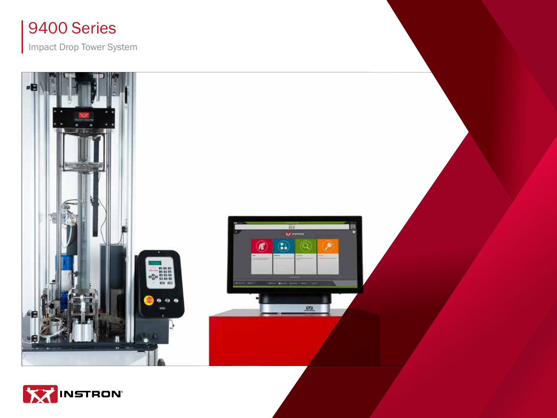

Impact Drop Tower System



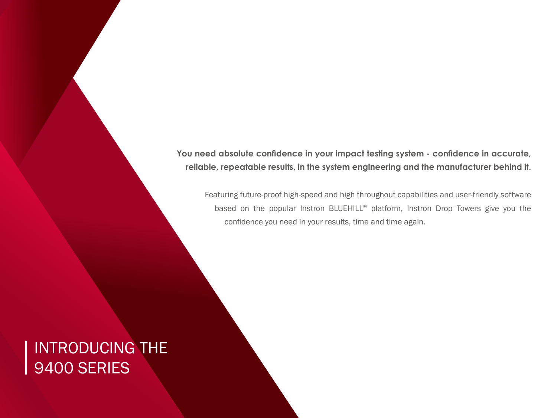**You need absolute confidence in your impact testing system - confidence in accurate, reliable, repeatable results, in the system engineering and the manufacturer behind it.**

Featuring future-proof high-speed and high throughout capabilities and user-friendly software based on the popular Instron BLUEHILL® platform, Instron Drop Towers give you the confidence you need in your results, time and time again.

### INTRODUCING THE 9400 SERIES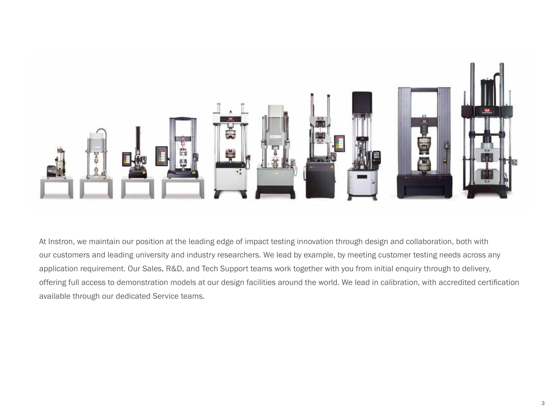

At Instron, we maintain our position at the leading edge of impact testing innovation through design and collaboration, both with our customers and leading university and industry researchers. We lead by example, by meeting customer testing needs across any application requirement. Our Sales, R&D, and Tech Support teams work together with you from initial enquiry through to delivery, offering full access to demonstration models at our design facilities around the world. We lead in calibration, with accredited certification available through our dedicated Service teams.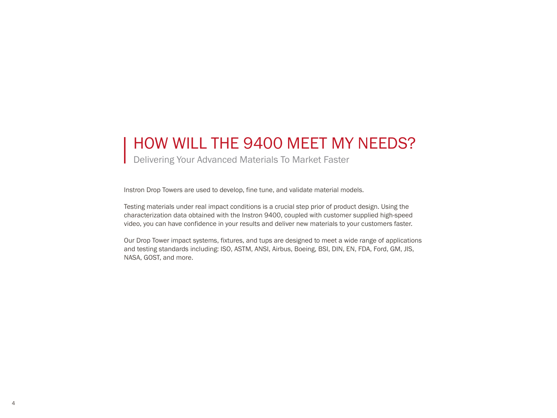### HOW WILL THE 9400 MEET MY NEEDS?

Delivering Your Advanced Materials To Market Faster

Instron Drop Towers are used to develop, fine tune, and validate material models.

Testing materials under real impact conditions is a crucial step prior of product design. Using the characterization data obtained with the Instron 9400, coupled with customer supplied high-speed video, you can have confidence in your results and deliver new materials to your customers faster.

Our Drop Tower impact systems, fixtures, and tups are designed to meet a wide range of applications and testing standards including: ISO, ASTM, ANSI, Airbus, Boeing, BSI, DIN, EN, FDA, Ford, GM, JIS, NASA, GOST, and more.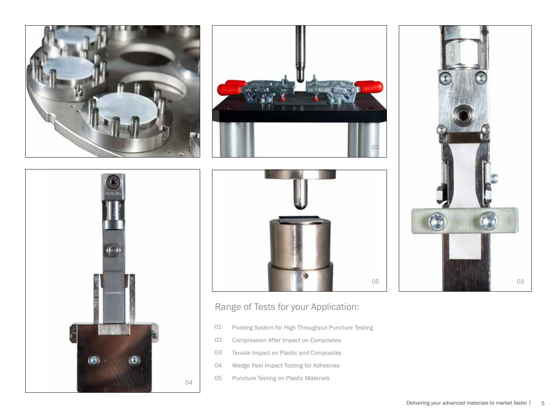









#### Range of Tests for your Application:

- Pivoting System for High Throughput Puncture Testing 01
- Compression After Impact on Composites 02
- Tensile Impact on Plastic and Composites 03
- Wedge Peel Impact Testing for Adhesives 04
- Puncture Testing on Plastic Materials 05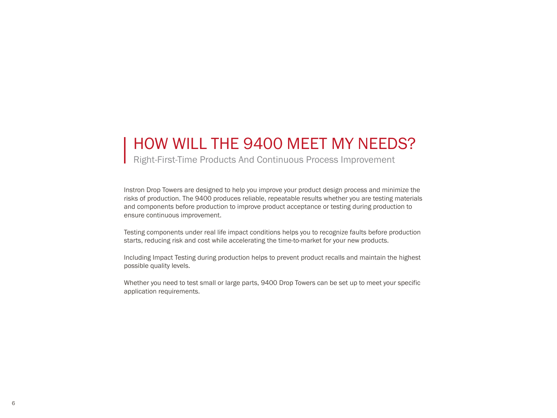### HOW WILL THE 9400 MEET MY NEEDS?

Right-First-Time Products And Continuous Process Improvement

Instron Drop Towers are designed to help you improve your product design process and minimize the risks of production. The 9400 produces reliable, repeatable results whether you are testing materials and components before production to improve product acceptance or testing during production to ensure continuous improvement.

Testing components under real life impact conditions helps you to recognize faults before production starts, reducing risk and cost while accelerating the time-to-market for your new products.

Including Impact Testing during production helps to prevent product recalls and maintain the highest possible quality levels.

Whether you need to test small or large parts, 9400 Drop Towers can be set up to meet your specific application requirements.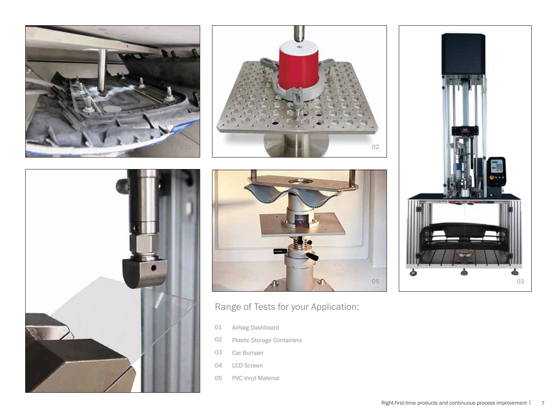







### Range of Tests for your Application:

- Airbag Dashboard 01
- Plastic Storage Containers 02
- Car Bumper 03
- LCD Screen 04
- PVC Vinyl Material 05

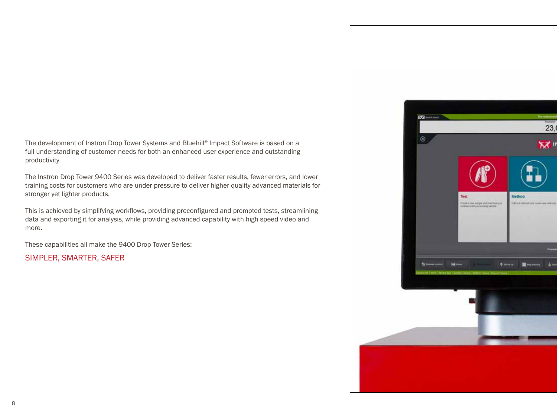The development of Instron Drop Tower Systems and Bluehill® Impact Software is based on a full understanding of customer needs for both an enhanced user-experience and outstanding productivity.

The Instron Drop Tower 9400 Series was developed to deliver faster results, fewer errors, and lower training costs for customers who are under pressure to deliver higher quality advanced materials for stronger yet lighter products.

This is achieved by simplifying workflows, providing preconfigured and prompted tests, streamlining data and exporting it for analysis, while providing advanced capability with high speed video and more.

These capabilities all make the 9400 Drop Tower Series:

SIMPLER, SMARTER, SAFER

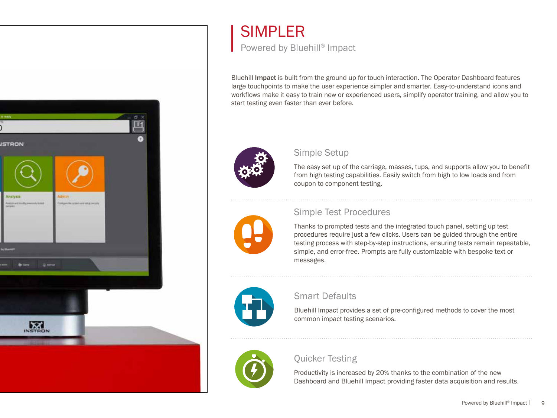

# SIMPLER

Powered by Bluehill® Impact

Bluehill Impact is built from the ground up for touch interaction. The Operator Dashboard features large touchpoints to make the user experience simpler and smarter. Easy-to-understand icons and workflows make it easy to train new or experienced users, simplify operator training, and allow you to start testing even faster than ever before.



#### Simple Setup

The easy set up of the carriage, masses, tups, and supports allow you to benefit from high testing capabilities. Easily switch from high to low loads and from coupon to component testing.

#### Simple Test Procedures

Thanks to prompted tests and the integrated touch panel, setting up test procedures require just a few clicks. Users can be guided through the entire testing process with step-by-step instructions, ensuring tests remain repeatable, simple, and error-free. Prompts are fully customizable with bespoke text or messages.



#### Smart Defaults

Bluehill Impact provides a set of pre-configured methods to cover the most common impact testing scenarios.



#### Quicker Testing

Productivity is increased by 20% thanks to the combination of the new Dashboard and Bluehill Impact providing faster data acquisition and results.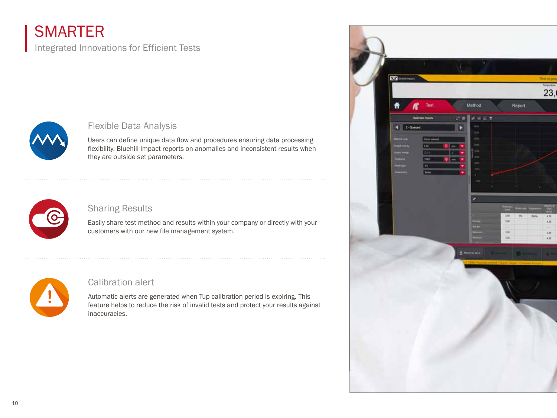### **SMARTER**

### Integrated Innovations for Efficient Tests



#### Flexible Data Analysis

Users can define unique data flow and procedures ensuring data processing flexibility. Bluehill Impact reports on anomalies and inconsistent results when they are outside set parameters.



#### Sharing Results

Easily share test method and results within your company or directly with your customers with our new file management system.



#### Calibration alert

Automatic alerts are generated when Tup calibration period is expiring. This feature helps to reduce the risk of invalid tests and protect your results against inaccuracies.

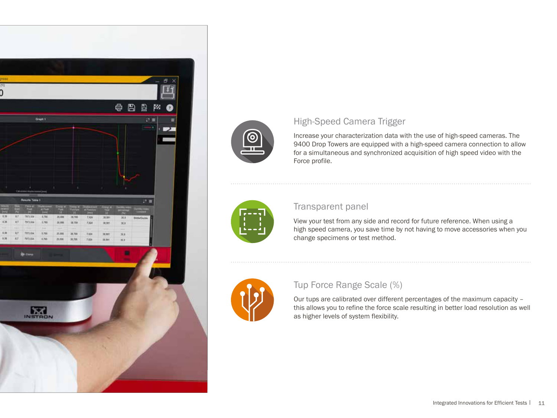



#### High-Speed Camera Trigger

Increase your characterization data with the use of high-speed cameras. The 9400 Drop Towers are equipped with a high-speed camera connection to allow for a simultaneous and synchronized acquisition of high speed video with the Force profile.



#### Transparent panel

View your test from any side and record for future reference. When using a high speed camera, you save time by not having to move accessories when you change specimens or test method.



#### Tup Force Range Scale (%)

Our tups are calibrated over different percentages of the maximum capacity – this allows you to refine the force scale resulting in better load resolution as well as higher levels of system flexibility.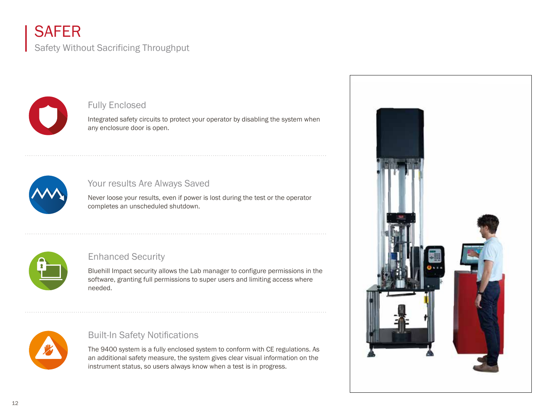### **SAFER**

Safety Without Sacrificing Throughput



#### Fully Enclosed

Integrated safety circuits to protect your operator by disabling the system when any enclosure door is open.



#### Your results Are Always Saved

Never loose your results, even if power is lost during the test or the operator completes an unscheduled shutdown.



#### Enhanced Security

Bluehill Impact security allows the Lab manager to configure permissions in the software, granting full permissions to super users and limiting access where needed.



#### Built-In Safety Notifications

The 9400 system is a fully enclosed system to conform with CE regulations. As an additional safety measure, the system gives clear visual information on the instrument status, so users always know when a test is in progress.

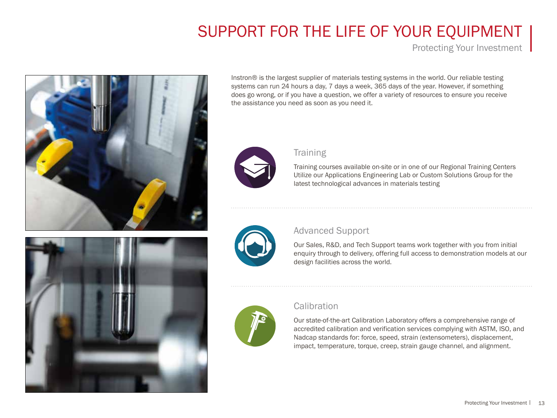## SUPPORT FOR THE LIFE OF YOUR EQUIPMENT

Protecting Your Investment



Instron® is the largest supplier of materials testing systems in the world. Our reliable testing systems can run 24 hours a day, 7 days a week, 365 days of the year. However, if something does go wrong, or if you have a question, we offer a variety of resources to ensure you receive the assistance you need as soon as you need it.



#### **Training**

Training courses available on-site or in one of our Regional Training Centers Utilize our Applications Engineering Lab or Custom Solutions Group for the latest technological advances in materials testing



#### Advanced Support

Our Sales, R&D, and Tech Support teams work together with you from initial enquiry through to delivery, offering full access to demonstration models at our design facilities across the world.



#### **Calibration**

Our state-of-the-art Calibration Laboratory offers a comprehensive range of accredited calibration and verification services complying with ASTM, ISO, and Nadcap standards for: force, speed, strain (extensometers), displacement, impact, temperature, torque, creep, strain gauge channel, and alignment.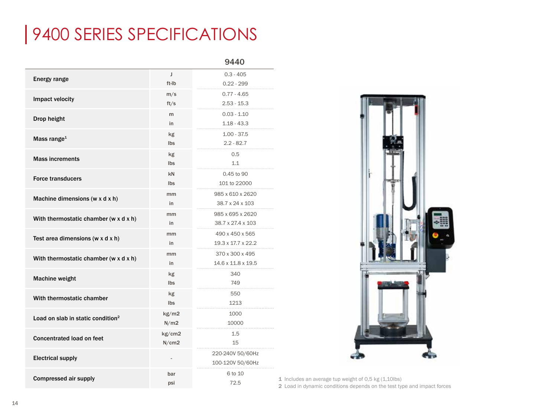# 9400 SERIES SPECIFICATIONS

|                                                |        | 9440                 |
|------------------------------------------------|--------|----------------------|
| <b>Energy range</b>                            | J      | $0.3 - 405$          |
|                                                | ft-Ib  | $0.22 - 299$         |
| Impact velocity                                | m/s    | $0.77 - 4.65$        |
|                                                | ft/s   | $2.53 - 15.3$        |
| Drop height                                    | m      | $0.03 - 1.10$        |
|                                                | in     | $1.18 - 43.3$        |
| Mass range <sup>1</sup>                        | kg     | $1.00 - 37.5$        |
|                                                | Ibs    | $2.2 - 82.7$         |
| <b>Mass increments</b>                         | kg     | 0.5                  |
|                                                | Ibs    | 1.1                  |
|                                                | kN     | 0.45 to 90           |
| <b>Force transducers</b>                       | Ibs    | 101 to 22000         |
|                                                | mm     | 985 x 610 x 2620     |
| Machine dimensions (w x d x h)                 | in     | 38.7 x 24 x 103      |
|                                                | mm     | 985 x 695 x 2620     |
| With thermostatic chamber (w x d x h)          | in     | 38.7 x 27.4 x 103    |
|                                                | mm     | .<br>490 x 450 x 565 |
| Test area dimensions ( $w \times d \times h$ ) | in     | 19.3 x 17.7 x 22.2   |
|                                                | mm     | 370 x 300 x 495      |
| With thermostatic chamber (w x d x h)          | in     | 14.6 x 11.8 x 19.5   |
|                                                | kg     | 340                  |
| <b>Machine weight</b>                          | Ibs    | 749                  |
| With thermostatic chamber                      | kg     | 550                  |
|                                                | Ibs    | 1213                 |
| Load on slab in static condition <sup>2</sup>  | kg/m2  | 1000                 |
|                                                | N/m2   | 10000                |
| Concentrated load on feet                      | kg/cm2 | 1.5                  |
|                                                | N/cm2  | 15                   |
| <b>Electrical supply</b>                       |        | 220-240V 50/60Hz     |
|                                                |        | 100-120V 50/60Hz     |
| <b>Compressed air supply</b>                   | bar    | 6 to 10              |
|                                                | psi    | 72.5                 |



1 Includes an average tup weight of 0,5 kg  $(1,10$ lbs) 2 Load in dynamic conditions depends on the test type and impact forces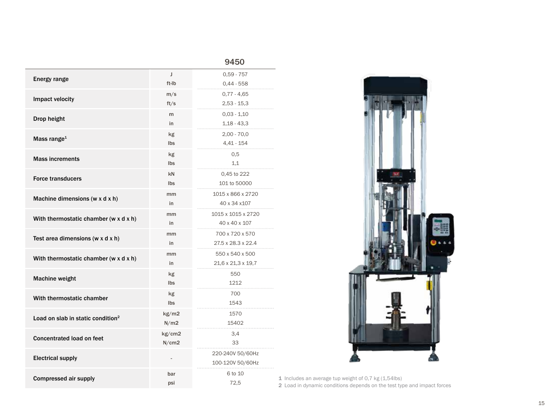|                                               |                | 9450                           |   |
|-----------------------------------------------|----------------|--------------------------------|---|
| <b>Energy range</b>                           | J              | $0,59 - 757$                   |   |
|                                               | ft-Ib          | $0,44 - 558$                   |   |
| Impact velocity                               | m/s            | $0,77 - 4,65$                  |   |
|                                               | ft/s           | $2,53 - 15,3$                  |   |
| Drop height                                   | m              | $0,03 - 1,10$                  |   |
|                                               | in             | $1,18 - 43,3$                  |   |
| Mass range <sup>1</sup>                       | kg             | $2,00 - 70,0$                  |   |
|                                               | Ibs            | $4,41 - 154$                   |   |
| <b>Mass increments</b>                        | kg             | 0,5                            |   |
|                                               | Ibs            | 1,1                            |   |
| <b>Force transducers</b>                      | kN             | 0.45 to 222                    |   |
|                                               | Ibs            | 101 to 50000                   |   |
|                                               | mm             | 1015 x 866 x 2720              |   |
| Machine dimensions (w x d x h)                | in             | 40 x 34 x 107                  |   |
|                                               | mm             | 1015 x 1015 x 2720             |   |
| With thermostatic chamber (w x d x h)         | in             | 40 x 40 x 107                  |   |
|                                               | mm             | 700 x 720 x 570                |   |
| Test area dimensions (w $x$ d $x$ h)          | in             | 27.5 x 28.3 x 22.4             |   |
|                                               | mm             | 550 x 540 x 500                |   |
| With thermostatic chamber (w x d x h)         | in             | $21,6 \times 21,3 \times 19,7$ |   |
| <b>Machine weight</b>                         | kg             | 550                            |   |
|                                               | Ibs            | 1212                           |   |
| With thermostatic chamber                     | kg             | 700                            |   |
|                                               | Ibs            | 1543                           |   |
| Load on slab in static condition <sup>2</sup> | kg/m2          | 1570                           |   |
|                                               | N/m2           | 15402                          |   |
| <b>Concentrated load on feet</b>              | kg/cm2         | 3,4                            |   |
|                                               | N/cm2          | 33                             |   |
|                                               |                | 220-240V 50/60Hz               |   |
| <b>Electrical supply</b>                      | $\overline{a}$ | 100-120V 50/60Hz               |   |
|                                               |                | 6 to 10                        |   |
| <b>Compressed air supply</b>                  | bar            | 72.5                           | 1 |
|                                               | psi            |                                | C |



Includes an average tup weight of 0,7 kg (1,54lbs)

2 Load in dynamic conditions depends on the test type and impact forces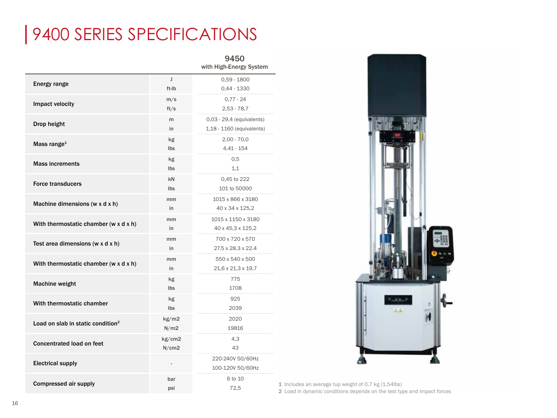# 9400 SERIES SPECIFICATIONS

|                                               |        | 9450<br>with High-Energy System |
|-----------------------------------------------|--------|---------------------------------|
| Energy range                                  | J      | $0,59 - 1800$                   |
|                                               | ft-Ib  | 0,44 - 1330                     |
| Impact velocity                               | m/s    | $0,77 - 24$                     |
|                                               | ft/s   | $2,53 - 78,7$                   |
| Drop height                                   | m      | 0,03 - 29,4 (equivalents)       |
|                                               | in     | 1,18 - 1160 (equivalents)       |
| Mass range <sup>1</sup>                       | kg     | $2,00 - 70,0$                   |
|                                               | Ibs    | $4,41 - 154$                    |
|                                               | kg     | 0.5                             |
| <b>Mass increments</b>                        | Ibs    | 1.1                             |
|                                               | kN     | 0,45 to 222                     |
| <b>Force transducers</b>                      | Ibs    | 101 to 50000                    |
|                                               | mm     | 1015 x 866 x 3180               |
| Machine dimensions (w x d x h)                | in     | 40 x 34 x 125,2                 |
|                                               | mm     | 1015 x 1150 x 3180              |
| With thermostatic chamber (w x d x h)         | in     | 40 x 45,3 x 125,2               |
| Test area dimensions (w x d x h)              | mm     | 700 x 720 x 570                 |
|                                               | in     | 27.5 x 28.3 x 22.4              |
|                                               | mm     | 550 x 540 x 500                 |
| With thermostatic chamber (w x d x h)         | in     | 21,6 x 21,3 x 19,7              |
|                                               | kg     | 775                             |
| <b>Machine weight</b>                         | Ibs    | 1708                            |
|                                               | kg     | 925                             |
| With thermostatic chamber                     | Ibs    | 2039                            |
|                                               | kg/m2  | 2020                            |
| Load on slab in static condition <sup>2</sup> | N/m2   | 19816                           |
|                                               | kg/cm2 | 4,3                             |
| <b>Concentrated load on feet</b>              | N/cm2  | 43                              |
|                                               |        | 220-240V 50/60Hz                |
| <b>Electrical supply</b>                      |        | 100-120V 50/60Hz                |
|                                               | bar    | 6 to 10                         |
| <b>Compressed air supply</b>                  | psi    | 72.5                            |



1 Includes an average tup weight of 0,7 kg (1,54lbs) 2 Load in dynamic conditions depends on the test type and impact forces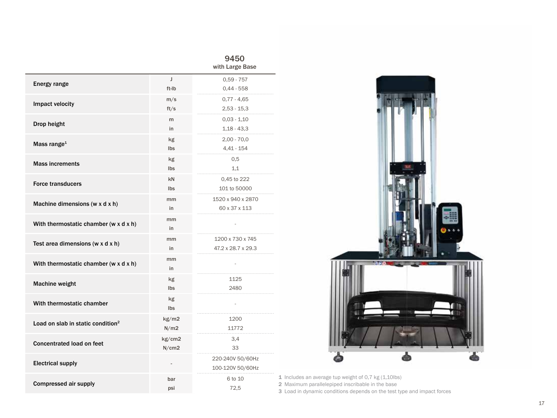|                                                |        | 9450<br>with Large Base |
|------------------------------------------------|--------|-------------------------|
|                                                | J      | $0.59 - 757$            |
| Energy range                                   | ft-Ib  | $0,44 - 558$            |
| Impact velocity                                | m/s    | $0,77 - 4,65$           |
|                                                | ft/s   | $2,53 - 15,3$           |
| Drop height                                    | m      | $0,03 - 1,10$           |
|                                                | in     | $1,18 - 43,3$           |
| Mass range <sup>1</sup>                        | kg     | $2,00 - 70,0$           |
|                                                | Ibs    | $4,41 - 154$            |
| <b>Mass increments</b>                         | kg     | 0.5                     |
|                                                | Ibs    | 1,1                     |
| <b>Force transducers</b>                       | kN     | 0,45 to 222             |
|                                                | Ibs    | 101 to 50000            |
|                                                | mm     | 1520 x 940 x 2870       |
| Machine dimensions (w x d x h)                 | in     | 60 x 37 x 113           |
| With thermostatic chamber (w x d x h)          | mm     |                         |
|                                                | in     |                         |
| Test area dimensions ( $w \times d \times h$ ) | mm     | 1200 x 730 x 745        |
|                                                | in     | 47.2 x 28.7 x 29.3      |
| With thermostatic chamber (w x d x h)          | mm     | ÷                       |
|                                                | in     |                         |
| <b>Machine weight</b>                          | kg     | 1125                    |
|                                                | Ibs    | 2480                    |
| With thermostatic chamber                      | kg     |                         |
|                                                | Ibs    | .<br>.                  |
| Load on slab in static condition <sup>2</sup>  | kg/m2  | 1200                    |
|                                                | N/m2   | 11772                   |
| <b>Concentrated load on feet</b>               | kg/cm2 | 3,4                     |
|                                                | N/cm2  | 33                      |
| <b>Electrical supply</b>                       |        | 220-240V 50/60Hz        |
|                                                |        | 100-120V 50/60Hz        |
| <b>Compressed air supply</b>                   | bar    | 6 to 10                 |
|                                                | psi    | 72.5                    |



1 Includes an average tup weight of 0,7 kg (1,10lbs)

2 Maximum parallelepiped inscribable in the base

3 Load in dynamic conditions depends on the test type and impact forces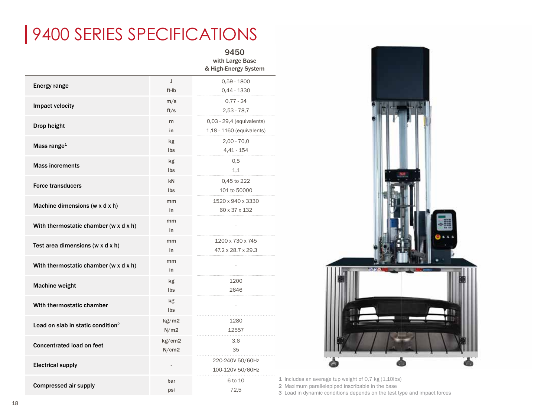# 9400 SERIES SPECIFICATIONS

#### 9450 with Large Base & High-Energy System

|                                               |        | u martinia y opotom       |
|-----------------------------------------------|--------|---------------------------|
| Energy range                                  | J      | $0,59 - 1800$             |
|                                               | ft-Ib  | $0,44 - 1330$             |
| Impact velocity                               | m/s    | $0.77 - 24$               |
|                                               | ft/s   | $2,53 - 78,7$             |
| Drop height                                   | m      | 0,03 - 29,4 (equivalents) |
|                                               | in     | 1,18 - 1160 (equivalents) |
| Mass range <sup>1</sup>                       | kg     | $2,00 - 70,0$             |
|                                               | Ibs    | $4,41 - 154$              |
| <b>Mass increments</b>                        | kg     | 0.5                       |
|                                               | Ibs    | 1,1                       |
| <b>Force transducers</b>                      | kN     | 0,45 to 222               |
|                                               | Ibs    | 101 to 50000              |
| Machine dimensions (w x d x h)                | mm     | 1520 x 940 x 3330         |
|                                               | in     | 60 x 37 x 132             |
| With thermostatic chamber (w x d x h)         | mm     |                           |
|                                               | in     |                           |
| Test area dimensions (w $x$ d $x$ h)          | mm     | 1200 x 730 x 745          |
|                                               | in     | 47.2 x 28.7 x 29.3        |
| With thermostatic chamber (w x d x h)         | mm     |                           |
|                                               | in     |                           |
| <b>Machine weight</b>                         | kg     | 1200                      |
|                                               | Ibs    | 2646                      |
| With thermostatic chamber                     | kg     |                           |
|                                               | Ibs    |                           |
| Load on slab in static condition <sup>2</sup> | kg/m2  | 1280                      |
|                                               | N/m2   | 12557                     |
| <b>Concentrated load on feet</b>              | kg/cm2 | 3,6                       |
|                                               | N/cm2  | 35                        |
| <b>Electrical supply</b>                      |        | 220-240V 50/60Hz          |
|                                               |        | 100-120V 50/60Hz          |
| <b>Compressed air supply</b>                  | bar    | 6 to 10                   |
|                                               | psi    | 72.5                      |



1 Includes an average tup weight of 0,7 kg (1,10lbs) 2 Maximum parallelepiped inscribable in the base

3 Load in dynamic conditions depends on the test type and impact forces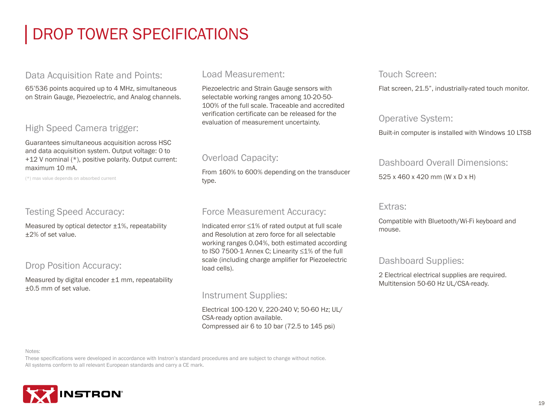# DROP TOWER SPECIFICATIONS

#### Data Acquisition Rate and Points:

65'536 points acquired up to 4 MHz, simultaneous on Strain Gauge, Piezoelectric, and Analog channels.

#### High Speed Camera trigger:

Guarantees simultaneous acquisition across HSC and data acquisition system. Output voltage: 0 to +12 V nominal (\*), positive polarity. Output current: maximum 10 mA.

(\*) max value depends on absorbed current

#### Testing Speed Accuracy:

Measured by optical detector  $\pm 1$ %, repeatability ±2% of set value.

#### Drop Position Accuracy:

Measured by digital encoder ±1 mm, repeatability ±0.5 mm of set value.

#### Load Measurement:

Piezoelectric and Strain Gauge sensors with selectable working ranges among 10-20-50- 100% of the full scale. Traceable and accredited verification certificate can be released for the evaluation of measurement uncertainty.

#### Overload Capacity:

From 160% to 600% depending on the transducer type.

#### Force Measurement Accuracy:

Indicated error ≤1% of rated output at full scale and Resolution at zero force for all selectable working ranges 0.04%, both estimated according to ISO 7500-1 Annex C; Linearity ≤1% of the full scale (including charge amplifier for Piezoelectric load cells).

#### Instrument Supplies:

Electrical 100-120 V, 220-240 V; 50-60 Hz; UL/ CSA-ready option available. Compressed air 6 to 10 bar (72.5 to 145 psi)

#### Touch Screen:

Flat screen, 21.5", industrially-rated touch monitor.

#### Operative System:

Built-in computer is installed with Windows 10 LTSB

#### Dashboard Overall Dimensions:

525 x 460 x 420 mm (W x D x H)

#### Extras:

Compatible with Bluetooth/Wi-Fi keyboard and mouse.

#### Dashboard Supplies:

2 Electrical electrical supplies are required. Multitension 50-60 Hz UL/CSA-ready.

Notes:

These specifications were developed in accordance with Instron's standard procedures and are subject to change without notice. All systems conform to all relevant European standards and carry a CE mark.